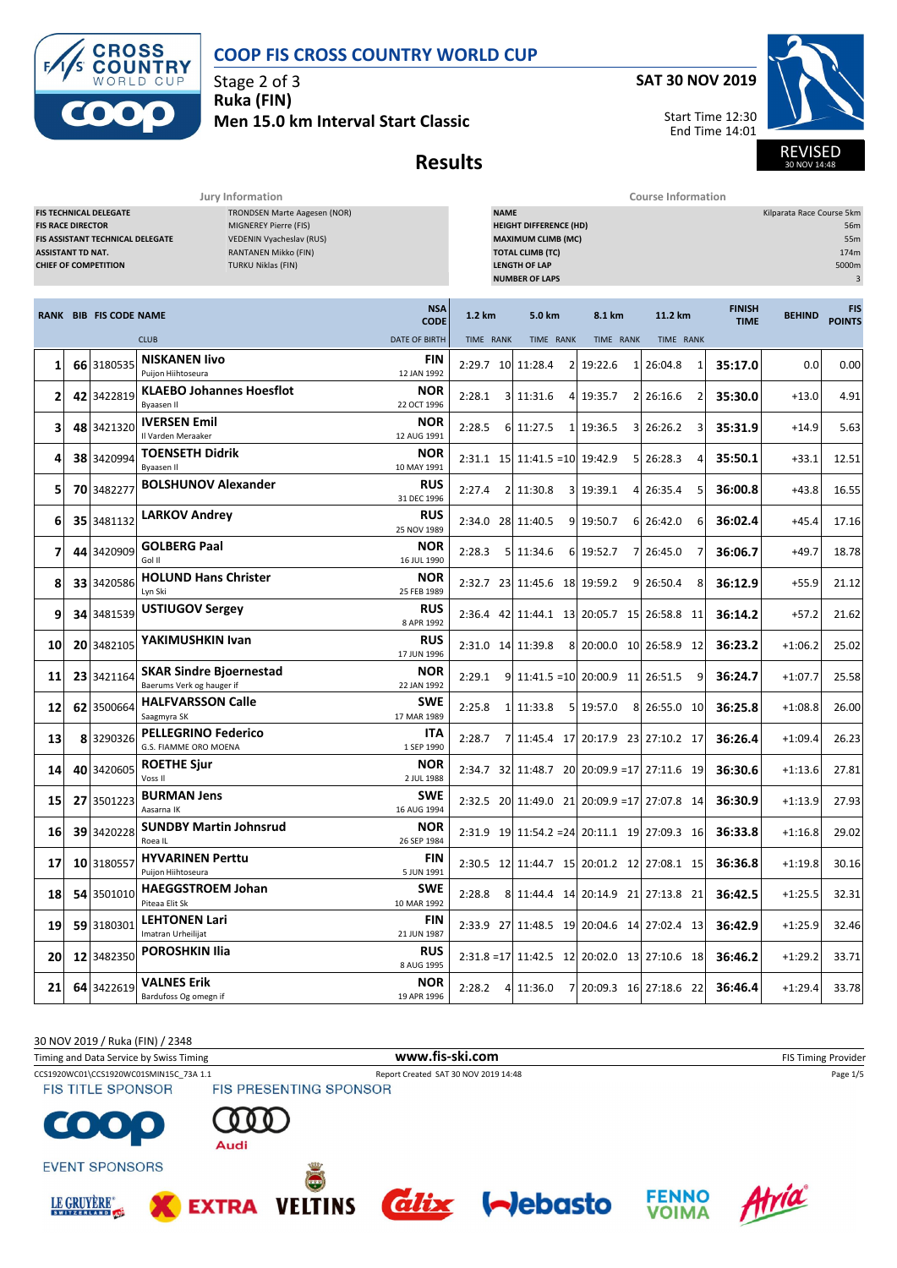

**Results**

Stage 2 of 3 **Ruka (FIN) Men 15.0 km Interval Start Classic** **SAT 30 NOV 2019**

Start Time 12:30 End Time 14:01



REVISED 30 NOV 14:48

| Jury Information                                                                                                                                                                                                                                                                                          |  |                               |                                                             |  |                                                                                                                                                                                    |           | <b>Course Information</b> |                                              |                           |   |                       |   |                                  |               |                             |
|-----------------------------------------------------------------------------------------------------------------------------------------------------------------------------------------------------------------------------------------------------------------------------------------------------------|--|-------------------------------|-------------------------------------------------------------|--|------------------------------------------------------------------------------------------------------------------------------------------------------------------------------------|-----------|---------------------------|----------------------------------------------|---------------------------|---|-----------------------|---|----------------------------------|---------------|-----------------------------|
| <b>TRONDSEN Marte Aagesen (NOR)</b><br><b>FIS TECHNICAL DELEGATE</b><br><b>FIS RACE DIRECTOR</b><br>MIGNEREY Pierre (FIS)<br>FIS ASSISTANT TECHNICAL DELEGATE<br>VEDENIN Vyacheslav (RUS)<br>RANTANEN Mikko (FIN)<br><b>ASSISTANT TD NAT.</b><br><b>CHIEF OF COMPETITION</b><br><b>TURKU Niklas (FIN)</b> |  |                               |                                                             |  | <b>NAME</b><br>Kilparata Race Course 5km<br><b>HEIGHT DIFFERENCE (HD)</b><br><b>MAXIMUM CLIMB (MC)</b><br><b>TOTAL CLIMB (TC)</b><br><b>LENGTH OF LAP</b><br><b>NUMBER OF LAPS</b> |           |                           |                                              |                           |   |                       |   | 56m<br>55m<br>174m<br>5000m<br>3 |               |                             |
|                                                                                                                                                                                                                                                                                                           |  | <b>RANK BIB FIS CODE NAME</b> |                                                             |  | <b>NSA</b><br><b>CODE</b>                                                                                                                                                          | 1.2 km    |                           | 5.0 km                                       | 8.1 km                    |   | 11.2 km               |   | <b>FINISH</b><br><b>TIME</b>     | <b>BEHIND</b> | <b>FIS</b><br><b>POINTS</b> |
|                                                                                                                                                                                                                                                                                                           |  |                               | <b>CLUB</b>                                                 |  | <b>DATE OF BIRTH</b>                                                                                                                                                               | TIME RANK |                           | TIME RANK                                    | TIME RANK                 |   | TIME RANK             |   |                                  |               |                             |
| 1                                                                                                                                                                                                                                                                                                         |  | 66 3180535                    | <b>NISKANEN livo</b><br>Puijon Hiihtoseura                  |  | <b>FIN</b><br>12 JAN 1992                                                                                                                                                          |           |                           | 2:29.7 10 11:28.4                            | $\overline{2}$<br>19:22.6 |   | 26:04.8               | 1 | 35:17.0                          | 0.0           | 0.00                        |
| 2                                                                                                                                                                                                                                                                                                         |  | 42 3422819                    | <b>KLAEBO Johannes Hoesflot</b><br>Byaasen Il               |  | NOR<br>22 OCT 1996                                                                                                                                                                 | 2:28.1    |                           | 3 11:31.6                                    | 19:35.7<br>4              |   | 2 26:16.6             |   | 35:30.0                          | $+13.0$       | 4.91                        |
| 3                                                                                                                                                                                                                                                                                                         |  | 48 3421320                    | <b>IVERSEN Emil</b><br>Il Varden Meraaker                   |  | NOR<br>12 AUG 1991                                                                                                                                                                 | 2:28.5    |                           | 6 11:27.5<br>$\mathbf{1}$                    | 19:36.5                   |   | 3 26:26.2             |   | 35:31.9                          | $+14.9$       | 5.63                        |
| 4                                                                                                                                                                                                                                                                                                         |  | 38 3420994                    | <b>TOENSETH Didrik</b><br>Byaasen II                        |  | <b>NOR</b><br>10 MAY 1991                                                                                                                                                          |           |                           | $2:31.1$ 15 11:41.5 = 10 19:42.9             |                           |   | 5 26:28.3             | 4 | 35:50.1                          | $+33.1$       | 12.51                       |
| 5                                                                                                                                                                                                                                                                                                         |  | 70 3482277                    | <b>BOLSHUNOV Alexander</b>                                  |  | <b>RUS</b><br>31 DEC 1996                                                                                                                                                          | 2:27.4    |                           | 2 11:30.8                                    | 3<br>19:39.1              |   | 4 26:35.4             | 5 | 36:00.8                          | $+43.8$       | 16.55                       |
| 6                                                                                                                                                                                                                                                                                                         |  | 35 3481132                    | <b>LARKOV Andrey</b>                                        |  | <b>RUS</b><br>25 NOV 1989                                                                                                                                                          | 2:34.0    |                           | 28 11:40.5                                   | 9 19:50.7                 |   | 6 26:42.0             | 6 | 36:02.4                          | $+45.4$       | 17.16                       |
| 7                                                                                                                                                                                                                                                                                                         |  | 44 3420909                    | <b>GOLBERG Paal</b><br>Gol II                               |  | NOR<br>16 JUL 1990                                                                                                                                                                 | 2:28.3    |                           | 5 11:34.6                                    | 6 19:52.7                 |   | 26:45.0               |   | 36:06.7                          | $+49.7$       | 18.78                       |
| 8                                                                                                                                                                                                                                                                                                         |  | 33 3420586                    | <b>HOLUND Hans Christer</b><br>Lyn Ski                      |  | NOR<br>25 FEB 1989                                                                                                                                                                 |           |                           | 2:32.7 23 11:45.6                            | 18 19:59.2                | 9 | 26:50.4               | 8 | 36:12.9                          | $+55.9$       | 21.12                       |
| 9                                                                                                                                                                                                                                                                                                         |  | 34 3481539                    | USTIUGOV Sergey                                             |  | <b>RUS</b><br>8 APR 1992                                                                                                                                                           |           |                           | 2:36.4 42 11:44.1 13 20:05.7 15 26:58.8 11   |                           |   |                       |   | 36:14.2                          | $+57.2$       | 21.62                       |
| 10                                                                                                                                                                                                                                                                                                        |  | 20 3482105                    | YAKIMUSHKIN Ivan                                            |  | <b>RUS</b><br>17 JUN 1996                                                                                                                                                          |           |                           | 2:31.0 14 11:39.8<br>8                       |                           |   | 20:00.0 10 26:58.9 12 |   | 36:23.2                          | $+1:06.2$     | 25.02                       |
| 11                                                                                                                                                                                                                                                                                                        |  | 23 3421164                    | <b>SKAR Sindre Bjoernestad</b><br>Baerums Verk og hauger if |  | NOR<br>22 JAN 1992                                                                                                                                                                 | 2:29.1    |                           | $9$ 11:41.5 = 10 20:00.9 11 26:51.5          |                           |   |                       | 9 | 36:24.7                          | $+1:07.7$     | 25.58                       |
| 12                                                                                                                                                                                                                                                                                                        |  | 62 3500664                    | <b>HALFVARSSON Calle</b><br>Saagmyra SK                     |  | <b>SWE</b><br>17 MAR 1989                                                                                                                                                          | 2:25.8    |                           | 1 11:33.8                                    | 5<br>19:57.0              |   | 8 26:55.0 10          |   | 36:25.8                          | $+1:08.8$     | 26.00                       |
| 13                                                                                                                                                                                                                                                                                                        |  | 8 3290326                     | <b>PELLEGRINO Federico</b><br>G.S. FIAMME ORO MOENA         |  | ITA<br>1 SEP 1990                                                                                                                                                                  | 2:28.7    |                           | 7 11:45.4 17 20:17.9 23 27:10.2 17           |                           |   |                       |   | 36:26.4                          | $+1:09.4$     | 26.23                       |
| 14                                                                                                                                                                                                                                                                                                        |  | 40 3420605                    | <b>ROETHE Sjur</b><br>Voss II                               |  | NOR<br>2 JUL 1988                                                                                                                                                                  |           |                           | 2:34.7 32 11:48.7 20 20:09.9 = 17 27:11.6 19 |                           |   |                       |   | 36:30.6                          | $+1:13.6$     | 27.81                       |
| 15                                                                                                                                                                                                                                                                                                        |  | 27 3501223                    | <b>BURMAN Jens</b><br>Aasarna IK                            |  | SWE<br>16 AUG 1994                                                                                                                                                                 |           |                           | 2:32.5 20 11:49.0 21 20:09.9 = 17 27:07.8 14 |                           |   |                       |   | 36:30.9                          | $+1:13.9$     | 27.93                       |
| 16                                                                                                                                                                                                                                                                                                        |  | 39 3420228                    | <b>SUNDBY Martin Johnsrud</b><br>Roea IL                    |  | NOR<br>26 SEP 1984                                                                                                                                                                 |           |                           | 2:31.9 19 11:54.2 = 24 20:11.1 19 27:09.3 16 |                           |   |                       |   | 36:33.8                          | $+1:16.8$     | 29.02                       |
| 17                                                                                                                                                                                                                                                                                                        |  | 10 3180557                    | <b>HYVARINEN Perttu</b><br>Puijon Hiihtoseura               |  | <b>FIN</b><br>5 JUN 1991                                                                                                                                                           |           |                           | 2:30.5 12 11:44.7 15 20:01.2 12 27:08.1 15   |                           |   |                       |   | 36:36.8                          | $+1:19.8$     | 30.16                       |
| 18                                                                                                                                                                                                                                                                                                        |  | 54 3501010                    | <b>HAEGGSTROEM Johan</b><br>Piteaa Elit Sk                  |  | SWE<br>10 MAR 1992                                                                                                                                                                 | 2:28.8    |                           | 8 11:44.4 14 20:14.9 21 27:13.8 21           |                           |   |                       |   | 36:42.5                          | $+1:25.5$     | 32.31                       |
| 19                                                                                                                                                                                                                                                                                                        |  | 59 3180301                    | <b>LEHTONEN Lari</b><br>Imatran Urheilijat                  |  | <b>FIN</b><br>21 JUN 1987                                                                                                                                                          |           |                           | 2:33.9 27 11:48.5 19 20:04.6 14 27:02.4 13   |                           |   |                       |   | 36:42.9                          | $+1:25.9$     | 32.46                       |
| 20                                                                                                                                                                                                                                                                                                        |  | 12 3482350                    | <b>POROSHKIN Ilia</b>                                       |  | <b>RUS</b><br>8 AUG 1995                                                                                                                                                           |           |                           | 2:31.8 = 17 11:42.5 12 20:02.0 13 27:10.6 18 |                           |   |                       |   | 36:46.2                          | $+1:29.2$     | 33.71                       |
| 21                                                                                                                                                                                                                                                                                                        |  | 64 3422619                    | <b>VALNES Erik</b><br>Bardufoss Og omegn if                 |  | <b>NOR</b><br>19 APR 1996                                                                                                                                                          | 2:28.2    |                           | 4 11:36.0                                    | 7                         |   | 20:09.3 16 27:18.6 22 |   | 36:46.4                          | $+1:29.4$     | 33.78                       |

30 NOV 2019 / Ruka (FIN) / 2348 Timing and Data Service by Swiss Timing **WWW.fis-Ski.com WWW.fis-Ski.com** FIS Timing Provider CCS1920WC01\CCS1920WC01SMIN15C\_73A 1.1 Report Created SAT 30 NOV 2019 14:48 Page 1/5<br>
FIS TITLE SPONSOR FIS PRESENTING SPONSOR **FIS TITLE SPONSOR**  $\bullet$ Audi **EVENT SPONSORS** 





**EXTRA** 





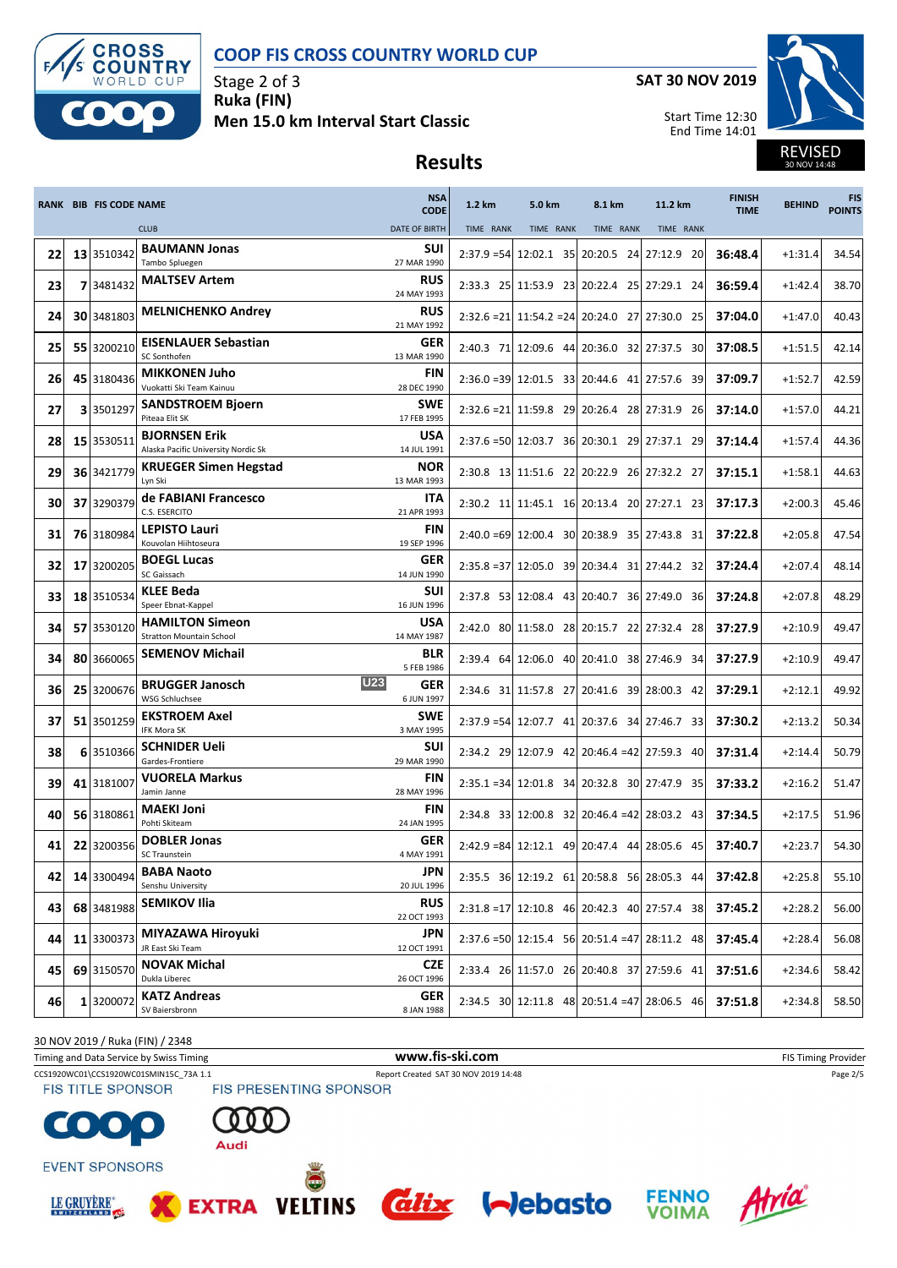

Stage 2 of 3 **Ruka (FIN) Men 15.0 km Interval Start Classic** **SAT 30 NOV 2019**

Start Time 12:30 End Time 14:01



REVISED 30 NOV 14:48

# **Results**

|            | <b>RANK BIB FIS CODE NAME</b> |                                                             | <b>NSA</b><br><b>CODE</b>       | 1.2 km    | 5.0 km    | 8.1 km                                               | 11.2 km   | <b>FINISH</b><br><b>TIME</b> | <b>BEHIND</b> | <b>FIS</b><br><b>POINTS</b> |
|------------|-------------------------------|-------------------------------------------------------------|---------------------------------|-----------|-----------|------------------------------------------------------|-----------|------------------------------|---------------|-----------------------------|
|            |                               | <b>CLUB</b>                                                 | <b>DATE OF BIRTH</b>            | TIME RANK | TIME RANK | TIME RANK                                            | TIME RANK |                              |               |                             |
| <b>221</b> | 13 3510342                    | <b>BAUMANN Jonas</b><br>Tambo Spluegen                      | SUI<br>27 MAR 1990              |           |           | 2:37.9 = 54 12:02.1 35 20:20.5 24 27:12.9 20         |           | 36:48.4                      | $+1:31.4$     | 34.54                       |
| 23         | 7 3481432                     | <b>MALTSEV Artem</b>                                        | <b>RUS</b><br>24 MAY 1993       |           |           | 2:33.3 25 11:53.9 23 20:22.4 25 27:29.1 24           |           | 36:59.4                      | $+1:42.4$     | 38.70                       |
| 24         | 30 3481803                    | <b>MELNICHENKO Andrey</b>                                   | RUS<br>21 MAY 1992              |           |           | 2:32.6 = 21   11:54.2 = 24   20:24.0 27   27:30.0 25 |           | 37:04.0                      | $+1:47.0$     | 40.43                       |
| 25         | 55 3200210                    | <b>EISENLAUER Sebastian</b><br>SC Sonthofen                 | GER<br>13 MAR 1990              |           |           | 2:40.3 71 12:09.6 44 20:36.0 32 27:37.5 30           |           | 37:08.5                      | $+1:51.5$     | 42.14                       |
| 26         | 45 3180436                    | <b>MIKKONEN Juho</b><br>Vuokatti Ski Team Kainuu            | <b>FIN</b><br>28 DEC 1990       |           |           | 2:36.0 = 39 12:01.5 33 20:44.6 41 27:57.6 39         |           | 37:09.7                      | $+1:52.7$     | 42.59                       |
| 27         | 3 3501297                     | <b>SANDSTROEM Bjoern</b><br>Piteaa Elit SK                  | SWE<br>17 FEB 1995              |           |           | 2:32.6 = 21 11:59.8 29 20:26.4 28 27:31.9 26         |           | 37:14.0                      | $+1:57.0$     | 44.21                       |
| 28         | 15 3530511                    | <b>BJORNSEN Erik</b><br>Alaska Pacific University Nordic Sk | <b>USA</b><br>14 JUL 1991       |           |           | 2:37.6 = 50 12:03.7 36 20:30.1 29 27:37.1 29         |           | 37:14.4                      | $+1:57.4$     | 44.36                       |
| 29         | 36 3421779                    | <b>KRUEGER Simen Hegstad</b><br>Lyn Ski                     | <b>NOR</b><br>13 MAR 1993       |           |           | 2:30.8 13 11:51.6 22 20:22.9 26 27:32.2 27           |           | 37:15.1                      | $+1:58.1$     | 44.63                       |
| 30         | 37 3290379                    | de FABIANI Francesco<br>C.S. ESERCITO                       | <b>ITA</b><br>21 APR 1993       |           |           | 2:30.2 11 11:45.1 16 20:13.4 20 27:27.1 23           |           | 37:17.3                      | $+2:00.3$     | 45.46                       |
| 31         | 76 3180984                    | <b>LEPISTO Lauri</b><br>Kouvolan Hiihtoseura                | FIN<br>19 SEP 1996              |           |           | 2:40.0 = 69 12:00.4 30 20:38.9 35 27:43.8 31         |           | 37:22.8                      | $+2:05.8$     | 47.54                       |
| 32         | 17 3200205                    | <b>BOEGL Lucas</b><br>SC Gaissach                           | <b>GER</b><br>14 JUN 1990       |           |           | 2:35.8 = 37 12:05.0 39 20:34.4 31 27:44.2 32         |           | 37:24.4                      | $+2:07.4$     | 48.14                       |
| 33         | 18 3510534                    | <b>KLEE Beda</b><br>Speer Ebnat-Kappel                      | SUI<br>16 JUN 1996              |           |           | 2:37.8 53 12:08.4 43 20:40.7 36 27:49.0 36           |           | 37:24.8                      | $+2:07.8$     | 48.29                       |
| 34         | 57 3530120                    | <b>HAMILTON Simeon</b><br><b>Stratton Mountain School</b>   | <b>USA</b><br>14 MAY 1987       |           |           | 2:42.0 80 11:58.0 28 20:15.7 22 27:32.4 28           |           | 37:27.9                      | $+2:10.9$     | 49.47                       |
| 34         | 80 3660065                    | <b>SEMENOV Michail</b>                                      | <b>BLR</b><br>5 FEB 1986        |           |           | 2:39.4 64 12:06.0 40 20:41.0 38 27:46.9 34           |           | 37:27.9                      | $+2:10.9$     | 49.47                       |
| 36         | 25 3200676                    | <b>BRUGGER Janosch</b><br>WSG Schluchsee                    | <b>U23</b><br>GER<br>6 JUN 1997 |           |           | 2:34.6 31 11:57.8 27 20:41.6 39 28:00.3 42           |           | 37:29.1                      | $+2:12.1$     | 49.92                       |
| 37         | 51 3501259                    | <b>EKSTROEM Axel</b><br>IFK Mora SK                         | <b>SWE</b><br>3 MAY 1995        |           |           | 2:37.9 = 54 12:07.7 41 20:37.6 34 27:46.7 33         |           | 37:30.2                      | $+2:13.2$     | 50.34                       |
| 38         | 6 3510366                     | <b>SCHNIDER Ueli</b><br>Gardes-Frontiere                    | <b>SUI</b><br>29 MAR 1990       |           |           | 2:34.2 29 12:07.9 42 20:46.4 = 42 27:59.3 40         |           | 37:31.4                      | $+2:14.4$     | 50.79                       |
| 39         | 41 3181007                    | <b>VUORELA Markus</b><br>Jamin Janne                        | <b>FIN</b><br>28 MAY 1996       |           |           | 2:35.1 = 34 12:01.8 34 20:32.8 30 27:47.9 35         |           | 37:33.2                      | $+2:16.2$     | 51.47                       |
| 40         | 56 3180861                    | <b>MAEKI Joni</b><br>Pohti Skiteam                          | FIN<br>24 JAN 1995              |           |           | 2:34.8 33 12:00.8 32 20:46.4 = 42 28:03.2 43         |           | 37:34.5                      | $+2:17.5$     | 51.96                       |
| 41         | 22 3200356                    | <b>DOBLER Jonas</b><br>SC Traunstein                        | <b>GER</b><br>4 MAY 1991        |           |           | 2:42.9 = 84 12:12.1 49 20:47.4 44 28:05.6 45         |           | 37:40.7                      | $+2:23.7$     | 54.30                       |
| 42         | 14 3300494                    | <b>BABA Naoto</b><br>Senshu University                      | <b>JPN</b><br>20 JUL 1996       |           |           | 2:35.5 36 12:19.2 61 20:58.8 56 28:05.3 44           |           | 37:42.8                      | $+2:25.8$     | 55.10                       |
| 43         | 68 3481988                    | <b>SEMIKOV Ilia</b>                                         | <b>RUS</b><br>22 OCT 1993       |           |           | 2:31.8 = 17 12:10.8 46 20:42.3 40 27:57.4 38         |           | 37:45.2                      | $+2:28.2$     | 56.00                       |
| 44         | 11 3300373                    | MIYAZAWA Hiroyuki<br>JR East Ski Team                       | JPN<br>12 OCT 1991              |           |           | 2:37.6 = 50 12:15.4 56 20:51.4 = 47 28:11.2 48       |           | 37:45.4                      | $+2:28.4$     | 56.08                       |
| 45         | 69 3150570                    | <b>NOVAK Michal</b><br>Dukla Liberec                        | <b>CZE</b><br>26 OCT 1996       |           |           | 2:33.4 26 11:57.0 26 20:40.8 37 27:59.6 41           |           | 37:51.6                      | $+2:34.6$     | 58.42                       |
| 46         | 1 3200072                     | KATZ Andreas<br>SV Baiersbronn                              | GER<br>8 JAN 1988               |           |           | 2:34.5 30 12:11.8 48 20:51.4 = 47 28:06.5 46         |           | 37:51.8                      | $+2:34.8$     | 58.50                       |

30 NOV 2019 / Ruka (FIN) / 2348

Timing and Data Service by Swiss Timing **WWW.fis-Ski.com WWW.fis-Ski.com** FIS Timing Provider

CCS1920WC01\CCS1920WC01SMIN15C\_73A 1.1 Report Created SAT 30 NOV 2019 14:48 Page 2/5<br>
FIS TITLE SPONSOR FIS PRESENTING SPONSOR

 $\bullet$ 



Audi

**EXTRA** 

**VELTINS** 



**EVENT SPONSORS** 





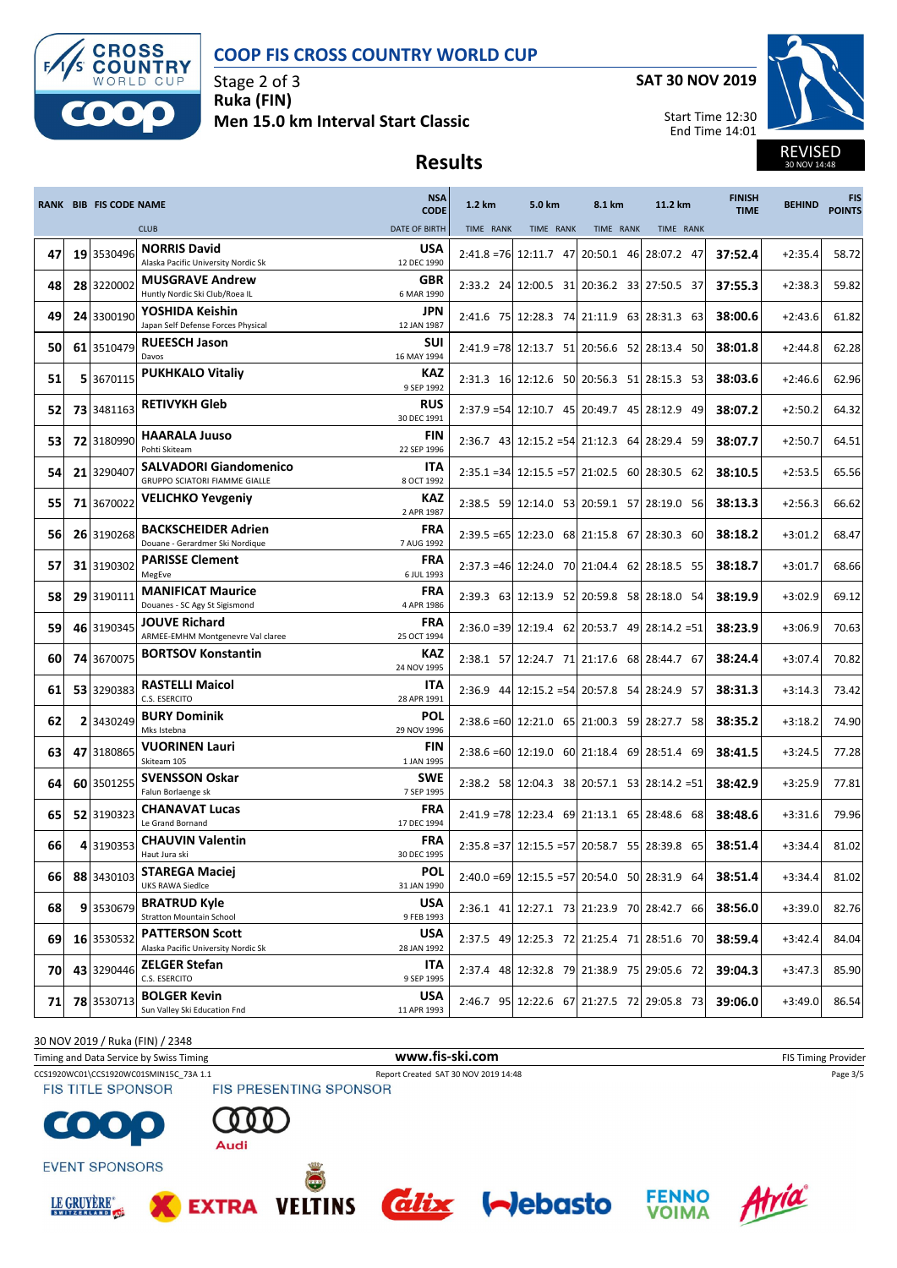



Stage 2 of 3 **Ruka (FIN) Men 15.0 km Interval Start Classic** **SAT 30 NOV 2019**

Start Time 12:30 End Time 14:01



REVISED 30 NOV 14:48

# **Results**

|    | <b>RANK BIB FIS CODE NAME</b> |                                                                | <b>NSA</b><br><b>CODE</b> | 1.2 km    | 5.0 km    | 8.1 km                                           | 11.2 km   | <b>FINISH</b><br><b>TIME</b> | <b>BEHIND</b> | <b>FIS</b><br><b>POINTS</b> |
|----|-------------------------------|----------------------------------------------------------------|---------------------------|-----------|-----------|--------------------------------------------------|-----------|------------------------------|---------------|-----------------------------|
|    |                               | <b>CLUB</b>                                                    | <b>DATE OF BIRTH</b>      | TIME RANK | TIME RANK | TIME RANK                                        | TIME RANK |                              |               |                             |
| 47 | 19 3530496                    | <b>NORRIS David</b><br>Alaska Pacific University Nordic Sk     | <b>USA</b><br>12 DEC 1990 |           |           | 2:41.8 = 76 12:11.7 47 20:50.1 46 28:07.2 47     |           | 37:52.4                      | $+2:35.4$     | 58.72                       |
| 48 | 28 3220002                    | <b>MUSGRAVE Andrew</b><br>Huntly Nordic Ski Club/Roea IL       | <b>GBR</b><br>6 MAR 1990  |           |           | 2:33.2 24 12:00.5 31 20:36.2 33 27:50.5 37       |           | 37:55.3                      | $+2:38.3$     | 59.82                       |
| 49 | 24 3300190                    | YOSHIDA Keishin<br>Japan Self Defense Forces Physical          | JPN<br>12 JAN 1987        |           |           | 2:41.6 75 12:28.3 74 21:11.9 63 28:31.3 63       |           | 38:00.6                      | $+2:43.6$     | 61.82                       |
| 50 | 61 3510479                    | <b>RUEESCH Jason</b><br>Davos                                  | SUI<br>16 MAY 1994        |           |           | 2:41.9 = 78 12:13.7 51 20:56.6 52 28:13.4 50     |           | 38:01.8                      | $+2:44.8$     | 62.28                       |
| 51 | 5 3670115                     | <b>PUKHKALO Vitaliy</b>                                        | <b>KAZ</b><br>9 SEP 1992  |           |           | 2:31.3 16 12:12.6 50 20:56.3 51 28:15.3 53       |           | 38:03.6                      | $+2:46.6$     | 62.96                       |
| 52 | 73 3481163                    | <b>RETIVYKH Gleb</b>                                           | <b>RUS</b><br>30 DEC 1991 |           |           | 2:37.9 = 54 12:10.7 45 20:49.7 45 28:12.9 49     |           | 38:07.2                      | $+2:50.2$     | 64.32                       |
| 53 | 72 3180990                    | <b>HAARALA Juuso</b><br>Pohti Skiteam                          | <b>FIN</b><br>22 SEP 1996 |           |           | 2:36.7 43 12:15.2 = 54 21:12.3 64 28:29.4 59     |           | 38:07.7                      | $+2:50.7$     | 64.51                       |
| 54 | 21 3290407                    | <b>SALVADORI Giandomenico</b><br>GRUPPO SCIATORI FIAMME GIALLE | <b>ITA</b><br>8 OCT 1992  |           |           | $2:35.1 = 34$ 12:15.5 = 57 21:02.5 60 28:30.5 62 |           | 38:10.5                      | $+2:53.5$     | 65.56                       |
| 55 | 71 3670022                    | <b>VELICHKO Yevgeniy</b>                                       | <b>KAZ</b><br>2 APR 1987  |           |           | 2:38.5 59 12:14.0 53 20:59.1 57 28:19.0 56       |           | 38:13.3                      | $+2:56.3$     | 66.62                       |
| 56 | 26 3190268                    | <b>BACKSCHEIDER Adrien</b><br>Douane - Gerardmer Ski Nordique  | <b>FRA</b><br>7 AUG 1992  |           |           | 2:39.5 = 65 12:23.0 68 21:15.8 67 28:30.3 60     |           | 38:18.2                      | $+3:01.2$     | 68.47                       |
| 57 | 31 3190302                    | <b>PARISSE Clement</b><br>MegEve                               | <b>FRA</b><br>6 JUL 1993  |           |           | 2:37.3 = 46 12:24.0 70 21:04.4 62 28:18.5 55     |           | 38:18.7                      | $+3:01.7$     | 68.66                       |
| 58 | 29 3190111                    | <b>MANIFICAT Maurice</b><br>Douanes - SC Agy St Sigismond      | <b>FRA</b><br>4 APR 1986  |           |           | 2:39.3 63 12:13.9 52 20:59.8 58 28:18.0 54       |           | 38:19.9                      | $+3:02.9$     | 69.12                       |
| 59 | 46 3190345                    | <b>JOUVE Richard</b><br>ARMEE-EMHM Montgenevre Val claree      | <b>FRA</b><br>25 OCT 1994 |           |           | $2:36.0 = 39$ 12:19.4 62 20:53.7 49 28:14.2 = 51 |           | 38:23.9                      | $+3:06.9$     | 70.63                       |
| 60 | 74 3670075                    | <b>BORTSOV Konstantin</b>                                      | KAZ<br>24 NOV 1995        |           |           | 2:38.1 57 12:24.7 71 21:17.6 68 28:44.7 67       |           | 38:24.4                      | $+3:07.4$     | 70.82                       |
| 61 | 53 3290383                    | <b>RASTELLI Maicol</b><br>C.S. ESERCITO                        | <b>ITA</b><br>28 APR 1991 |           |           | 2:36.9 44 12:15.2 = 54 20:57.8 54 28:24.9 57     |           | 38:31.3                      | $+3:14.3$     | 73.42                       |
| 62 | 2 3430249                     | <b>BURY Dominik</b><br>Mks Istebna                             | POL<br>29 NOV 1996        |           |           | 2:38.6 = 60 12:21.0 65 21:00.3 59 28:27.7 58     |           | 38:35.2                      | $+3:18.2$     | 74.90                       |
| 63 | 47 3180865                    | <b>VUORINEN Lauri</b><br>Skiteam 105                           | FIN<br>1 JAN 1995         |           |           | 2:38.6 = 60 12:19.0 60 21:18.4 69 28:51.4 69     |           | 38:41.5                      | $+3:24.5$     | 77.28                       |
| 64 | 60 3501255                    | <b>SVENSSON Oskar</b><br>Falun Borlaenge sk                    | <b>SWE</b><br>7 SEP 1995  |           |           | 2:38.2 58 12:04.3 38 20:57.1 53 28:14.2 = 51     |           | 38:42.9                      | $+3:25.9$     | 77.81                       |
| 65 | 52 3190323                    | <b>CHANAVAT Lucas</b><br>Le Grand Bornand                      | <b>FRA</b><br>17 DEC 1994 |           |           | 2:41.9 = 78 12:23.4 69 21:13.1 65 28:48.6 68     |           | 38:48.6                      | $+3:31.6$     | 79.96                       |
| 66 | 4 3190353                     | <b>CHAUVIN Valentin</b><br>Haut Jura ski                       | <b>FRA</b><br>30 DEC 1995 |           |           | $2:35.8 = 37$ 12:15.5 = 57 20:58.7 55 28:39.8 65 |           | 38:51.4                      | $+3:34.4$     | 81.02                       |
| 66 | 88 3430103                    | <b>STAREGA Maciej</b><br><b>UKS RAWA Siedlce</b>               | <b>POL</b><br>31 JAN 1990 |           |           | 2:40.0 = 69 12:15.5 = 57 20:54.0 50 28:31.9 64   |           | 38:51.4                      | $+3:34.4$     | 81.02                       |
| 68 | 9 3530679                     | <b>BRATRUD Kyle</b><br><b>Stratton Mountain School</b>         | <b>USA</b><br>9 FEB 1993  |           |           | 2:36.1 41 12:27.1 73 21:23.9 70 28:42.7 66       |           | 38:56.0                      | $+3:39.0$     | 82.76                       |
| 69 | 16 3530532                    | <b>PATTERSON Scott</b><br>Alaska Pacific University Nordic Sk  | USA<br>28 JAN 1992        |           |           | 2:37.5 49 12:25.3 72 21:25.4 71 28:51.6 70       |           | 38:59.4                      | $+3:42.4$     | 84.04                       |
| 70 | 43 3290446                    | <b>ZELGER Stefan</b><br>C.S. ESERCITO                          | <b>ITA</b><br>9 SEP 1995  |           |           | 2:37.4 48 12:32.8 79 21:38.9 75 29:05.6 72       |           | 39:04.3                      | $+3:47.3$     | 85.90                       |
| 71 | 78 3530713                    | <b>BOLGER Kevin</b><br>Sun Valley Ski Education Fnd            | USA<br>11 APR 1993        |           |           | 2:46.7 95 12:22.6 67 21:27.5 72 29:05.8 73       |           | 39:06.0                      | $+3:49.0$     | 86.54                       |

30 NOV 2019 / Ruka (FIN) / 2348

Timing and Data Service by Swiss Timing **WWW.fis-Ski.com WWW.fis-Ski.com** FIS Timing Provider

CCS1920WC01\CCS1920WC01SMIN15C\_73A 1.1 Report Created SAT 30 NOV 2019 14:48 Page 3/5<br>
FIS TITLE SPONSOR FIS PRESENTING SPONSOR **FIS TITLE SPONSOR** 





**EXTRA** 

**VELTINS** 

**EVENT SPONSORS** 







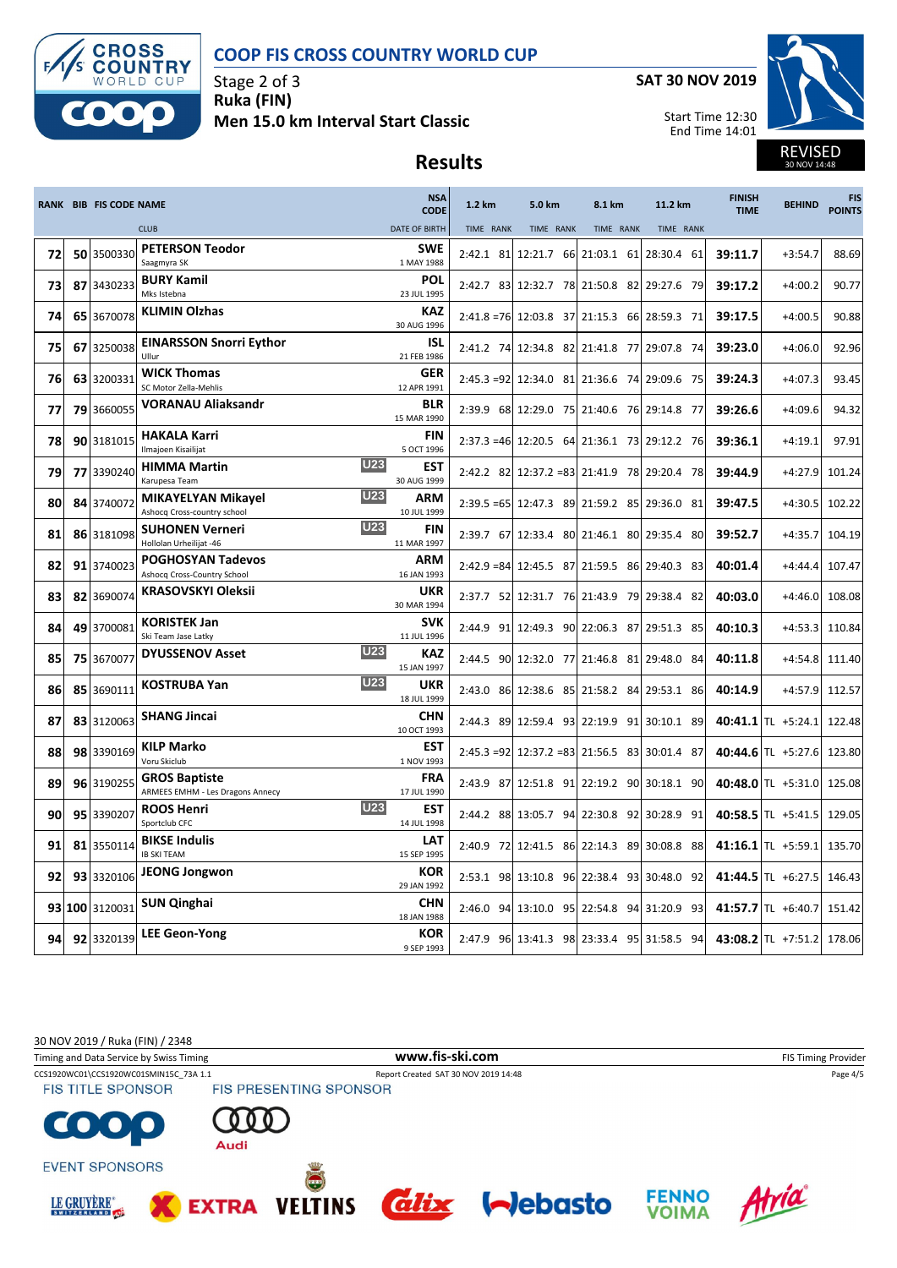

Stage 2 of 3 **Ruka (FIN) Men 15.0 km Interval Start Classic**



Start Time 12:30 End Time 14:01



REVISED 30 NOV 14:48

# **Results**

|    |    | <b>RANK BIB FIS CODE NAME</b> |                                                                                      | <b>NSA</b><br><b>CODE</b> | 1.2 km    | 5.0 km                           | 8.1 km                                         | 11.2 km       | <b>FINISH</b><br><b>TIME</b> | <b>BEHIND</b>        | <b>FIS</b><br><b>POINTS</b> |
|----|----|-------------------------------|--------------------------------------------------------------------------------------|---------------------------|-----------|----------------------------------|------------------------------------------------|---------------|------------------------------|----------------------|-----------------------------|
|    |    |                               | <b>CLUB</b>                                                                          | <b>DATE OF BIRTH</b>      | TIME RANK | TIME RANK                        | TIME RANK                                      | TIME RANK     |                              |                      |                             |
| 72 |    | 50 3500330                    | <b>PETERSON Teodor</b><br>Saagmyra SK                                                | SWE<br>1 MAY 1988         | 2:42.1 81 |                                  | 12:21.7 66 21:03.1 61                          | 28:30.4 61    | 39:11.7                      | $+3:54.7$            | 88.69                       |
| 73 |    | 87 3430233                    | <b>BURY Kamil</b><br>Mks Istebna                                                     | POL<br>23 JUL 1995        |           |                                  | 2:42.7 83 12:32.7 78 21:50.8 82 29:27.6 79     |               | 39:17.2                      | $+4:00.2$            | 90.77                       |
| 74 |    | 65 3670078                    | <b>KLIMIN Olzhas</b>                                                                 | <b>KAZ</b><br>30 AUG 1996 |           |                                  | 2:41.8 = 76 12:03.8 37 21:15.3 66 28:59.3 71   |               | 39:17.5                      | $+4:00.5$            | 90.88                       |
| 75 | 67 | 3250038                       | <b>EINARSSON Snorri Eythor</b><br>Ullur                                              | <b>ISL</b><br>21 FEB 1986 |           |                                  | 2:41.2 74 12:34.8 82 21:41.8 77                | 29:07.8 74    | 39:23.0                      | $+4:06.0$            | 92.96                       |
| 76 |    | 63 3200331                    | <b>WICK Thomas</b><br>SC Motor Zella-Mehlis                                          | <b>GER</b><br>12 APR 1991 |           |                                  | 2:45.3 = 92 12:34.0 81 21:36.6 74 29:09.6 75   |               | 39:24.3                      | $+4:07.3$            | 93.45                       |
| 77 |    | 79 3660055                    | <b>VORANAU Aliaksandr</b>                                                            | <b>BLR</b><br>15 MAR 1990 |           |                                  | 2:39.9 68 12:29.0 75 21:40.6 76 29:14.8 77     |               | 39:26.6                      | $+4:09.6$            | 94.32                       |
| 78 |    | 90 3181015                    | <b>HAKALA Karri</b><br>Ilmajoen Kisailijat                                           | <b>FIN</b><br>5 OCT 1996  |           |                                  | 2:37.3 = 46 12:20.5 64 21:36.1 73 29:12.2 76   |               | 39:36.1                      | $+4:19.1$            | 97.91                       |
| 79 |    | 77 3390240                    | <b>U23</b><br><b>HIMMA Martin</b><br>Karupesa Team                                   | EST<br>30 AUG 1999        |           | $2:42.2$ 82 12:37.2 = 83 21:41.9 | 78                                             | 29:20.4 78    | 39:44.9                      | $+4:27.9$            | 101.24                      |
| 80 |    | 84 3740072                    | <b>U23</b><br><b>MIKAYELYAN Mikayel</b><br>Ashocq Cross-country school<br><b>U23</b> | ARM<br>10 JUL 1999        |           |                                  | 2:39.5 = 65 12:47.3 89 21:59.2 85              | 29:36.0 81    | 39:47.5                      | $+4:30.5$            | 102.22                      |
| 81 |    | 86 3181098                    | <b>SUHONEN Verneri</b><br>Hollolan Urheilijat -46                                    | <b>FIN</b><br>11 MAR 1997 |           |                                  | 2:39.7 67 12:33.4 80 21:46.1 80 29:35.4 80     |               | 39:52.7                      | $+4:35.7$            | 104.19                      |
| 82 |    | 91 3740023                    | <b>POGHOSYAN Tadevos</b><br>Ashocq Cross-Country School                              | ARM<br>16 JAN 1993        |           | $2:42.9 = 84$ 12:45.5 87 21:59.5 |                                                | 86 29:40.3 83 | 40:01.4                      | $+4:44.4$            | 107.47                      |
| 83 |    | 82 3690074                    | <b>KRASOVSKYI Oleksii</b>                                                            | <b>UKR</b><br>30 MAR 1994 |           |                                  | 2:37.7 52 12:31.7 76 21:43.9 79 29:38.4 82     |               | 40:03.0                      | $+4:46.0$            | 108.08                      |
| 84 |    | 49 3700081                    | <b>KORISTEK Jan</b><br>Ski Team Jase Latky<br><b>U23</b>                             | <b>SVK</b><br>11 JUL 1996 |           |                                  | 2:44.9 91 12:49.3 90 22:06.3 87 29:51.3 85     |               | 40:10.3                      | $+4:53.3$            | 110.84                      |
| 85 |    | 75 3670077                    | <b>DYUSSENOV Asset</b><br><b>U23</b>                                                 | <b>KAZ</b><br>15 JAN 1997 |           |                                  | 2:44.5 90 12:32.0 77 21:46.8 81                | 29:48.0 84    | 40:11.8                      | $+4:54.8$            | 111.40                      |
| 86 |    | 85 3690111                    | <b>KOSTRUBA Yan</b>                                                                  | <b>UKR</b><br>18 JUL 1999 |           |                                  | 2:43.0 86 12:38.6 85 21:58.2 84 29:53.1 86     |               | 40:14.9                      | $+4:57.9$            | 112.57                      |
| 87 |    | 83 3120063                    | <b>SHANG Jincai</b>                                                                  | <b>CHN</b><br>10 OCT 1993 |           |                                  | 2:44.3 89 12:59.4 93 22:19.9 91                | 30:10.1 89    |                              | 40:41.1 TL +5:24.1   | 122.48                      |
| 88 |    | 98 3390169                    | <b>KILP Marko</b><br>Voru Skiclub                                                    | EST<br>1 NOV 1993         |           |                                  | 2:45.3 = 92 12:37.2 = 83 21:56.5 83 30:01.4 87 |               |                              | 40:44.6 TL +5:27.6   | 123.80                      |
| 89 |    | 96 3190255                    | <b>GROS Baptiste</b><br>ARMEES EMHM - Les Dragons Annecy<br><b>U23</b>               | <b>FRA</b><br>17 JUL 1990 | 2:43.9 87 |                                  | 12:51.8 91 22:19.2 90 30:18.1 90               |               |                              | 40:48.0 TL $+5:31.0$ | 125.08                      |
| 90 |    | 95 3390207                    | <b>ROOS Henri</b><br>Sportclub CFC                                                   | EST<br>14 JUL 1998        |           |                                  | 2:44.2 88 13:05.7 94 22:30.8 92 30:28.9 91     |               |                              | 40:58.5 $TL +5:41.5$ | 129.05                      |
| 91 |    | 81 3550114                    | <b>BIKSE Indulis</b><br><b>IB SKITEAM</b>                                            | LAT<br>15 SEP 1995        |           |                                  | 2:40.9 72 12:41.5 86 22:14.3 89 30:08.8 88     |               |                              | 41:16.1 $TL +5:59.1$ | 135.70                      |
| 92 |    | 93 3320106                    | <b>JEONG Jongwon</b>                                                                 | <b>KOR</b><br>29 JAN 1992 |           |                                  | 2:53.1 98 13:10.8 96 22:38.4 93 30:48.0 92     |               |                              | 41:44.5 TL $+6:27.5$ | 146.43                      |
|    |    | 93 100 3120031                | SUN Qinghai                                                                          | <b>CHN</b><br>18 JAN 1988 |           |                                  | 2:46.0 94 13:10.0 95 22:54.8 94 31:20.9 93     |               |                              | 41:57.7 TL +6:40.7   | 151.42                      |
| 94 |    | 92 3320139                    | <b>LEE Geon-Yong</b>                                                                 | <b>KOR</b><br>9 SEP 1993  |           |                                  | 2:47.9 96 13:41.3 98 23:33.4 95 31:58.5 94     |               |                              | 43:08.2 TL +7:51.2   | 178.06                      |

30 NOV 2019 / Ruka (FIN) / 2348 Timing and Data Service by Swiss Timing **WWW.fis-Ski.com WWW.fis-Ski.com** FIS Timing Provider CCS1920WC01\CCS1920WC01SMIN15C\_73A 1.1 Report Created SAT 30 NOV 2019 14:48 Page 4/5<br>
FIS TITLE SPONSOR FIS PRESENTING SPONSOR **FIS TITLE SPONSOR**  $\mathbf{0}$  C  $\bullet$ Audi **EVENT SPONSORS** Atria **FENNO**<br>VOIMA *<u>alix I-lebasto</u>* LE GRUYÈRE® **VELTINS EXTRA**